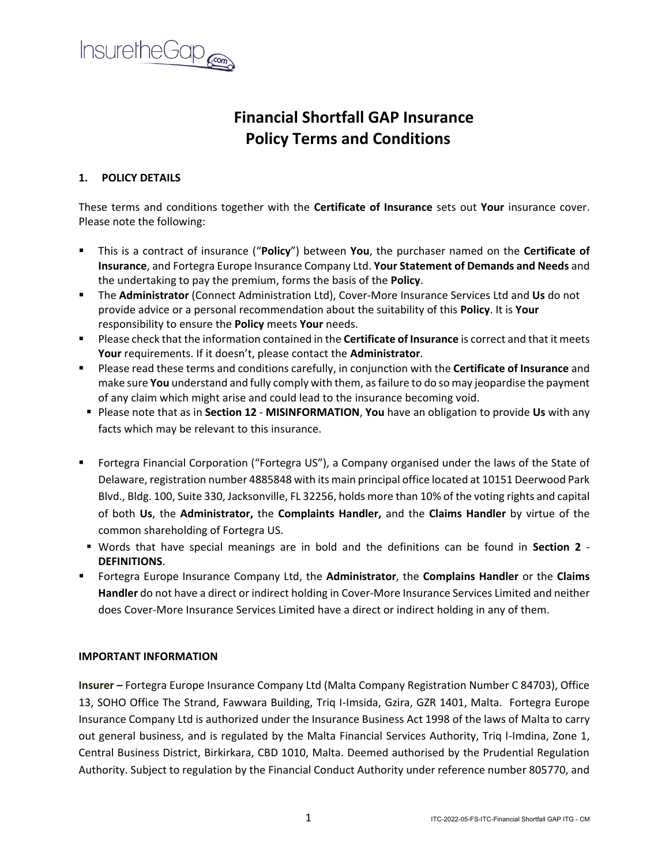

# **Financial Shortfall GAP Insurance Policy Terms and Conditions**

# **1. POLICY DETAILS**

These terms and conditions together with the **Certificate of Insurance** sets out **Your** insurance cover. Please note the following:

- This is a contract of insurance ("**Policy**") between **You**, the purchaser named on the **Certificate of Insurance**, and Fortegra Europe Insurance Company Ltd. **Your Statement of Demands and Needs** and the undertaking to pay the premium, forms the basis of the **Policy**.
- The **Administrator** (Connect Administration Ltd), Cover-More Insurance Services Ltd and **Us** do not provide advice or a personal recommendation about the suitability of this **Policy**. It is **Your** responsibility to ensure the **Policy** meets **Your** needs.
- Please check that the information contained in the **Certificate of Insurance** is correct and that it meets **Your** requirements. If it doesn't, please contact the **Administrator**.
- **EXECTE Please read these terms and conditions carefully, in conjunction with the Certificate of Insurance** and make sure **You** understand and fully comply with them, as failure to do so may jeopardise the payment of any claim which might arise and could lead to the insurance becoming void.
- Please note that as in **Section 12 MISINFORMATION**, **You** have an obligation to provide **Us** with any facts which may be relevant to this insurance.
- Fortegra Financial Corporation ("Fortegra US"), a Company organised under the laws of the State of Delaware, registration number 4885848 with its main principal office located at 10151 Deerwood Park Blvd., Bldg. 100, Suite 330, Jacksonville, FL 32256, holds more than 10% of the voting rights and capital of both **Us**, the **Administrator,** the **Complaints Handler,** and the **Claims Handler** by virtue of the common shareholding of Fortegra US.
- Words that have special meanings are in bold and the definitions can be found in **Section 2 DEFINITIONS**.
- Fortegra Europe Insurance Company Ltd, the **Administrator**, the **Complains Handler** or the **Claims Handler** do not have a direct or indirect holding in Cover-More Insurance Services Limited and neither does Cover-More Insurance Services Limited have a direct or indirect holding in any of them.

# **IMPORTANT INFORMATION**

**Insurer –** Fortegra Europe Insurance Company Ltd (Malta Company Registration Number C 84703), Office 13, SOHO Office The Strand, Fawwara Building, Triq I-Imsida, Gzira, GZR 1401, Malta. Fortegra Europe Insurance Company Ltd is authorized under the Insurance Business Act 1998 of the laws of Malta to carry out general business, and is regulated by the Malta Financial Services Authority, Triq l-Imdina, Zone 1, Central Business District, Birkirkara, CBD 1010, Malta. Deemed authorised by the Prudential Regulation Authority. Subject to regulation by the Financial Conduct Authority under reference number 805770, and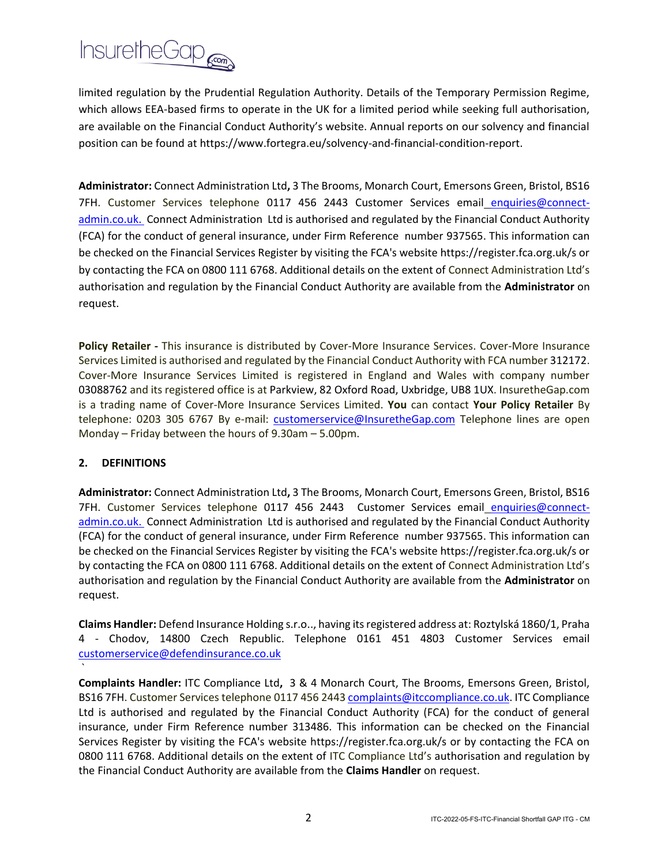

limited regulation by the Prudential Regulation Authority. Details of the Temporary Permission Regime, which allows EEA-based firms to operate in the UK for a limited period while seeking full authorisation, are available on the Financial Conduct Authority's website. Annual reports on our solvency and financial position can be found at https://www.fortegra.eu/solvency-and-financial-condition-report.

**Administrator:** Connect Administration Ltd**,** 3 The Brooms, Monarch Court, Emersons Green, Bristol, BS16 7FH. Customer Services telephone 0117 456 2443 Customer Services email [enquiries@connect](mailto:enquiries@connect-admin.co.uk)[admin.co.uk.](mailto:enquiries@connect-admin.co.uk) Connect Administration Ltd is authorised and regulated by the Financial Conduct Authority (FCA) for the conduct of general insurance, under Firm Reference number 937565. This information can be checked on the Financial Services Register by visiting the FCA's website https://register.fca.org.uk/s or by contacting the FCA on 0800 111 6768. Additional details on the extent of Connect Administration Ltd's authorisation and regulation by the Financial Conduct Authority are available from the **Administrator** on request.

**Policy Retailer -** This insurance is distributed by Cover-More Insurance Services. Cover-More Insurance Services Limited is authorised and regulated by the Financial Conduct Authority with FCA number 312172. Cover-More Insurance Services Limited is registered in England and Wales with company number 03088762 and its registered office is at Parkview, 82 Oxford Road, Uxbridge, UB8 1UX. InsuretheGap.com is a trading name of Cover-More Insurance Services Limited. **You** can contact **Your Policy Retailer** By telephone: 0203 305 6767 By e-mail: [customerservice@InsuretheGap.com](mailto:customerservice@InsuretheGap.com) Telephone lines are open Monday – Friday between the hours of 9.30am – 5.00pm.

# **2. DEFINITIONS**

`

**Administrator:** Connect Administration Ltd**,** 3 The Brooms, Monarch Court, Emersons Green, Bristol, BS16 7FH. Customer Services telephone 0117 456 2443 Customer Services email [enquiries@connect](mailto:enquiries@connect-admin.co.uk)[admin.co.uk.](mailto:enquiries@connect-admin.co.uk) Connect Administration Ltd is authorised and regulated by the Financial Conduct Authority (FCA) for the conduct of general insurance, under Firm Reference number 937565. This information can be checked on the Financial Services Register by visiting the FCA's website https://register.fca.org.uk/s or by contacting the FCA on 0800 111 6768. Additional details on the extent of Connect Administration Ltd's authorisation and regulation by the Financial Conduct Authority are available from the **Administrator** on request.

**Claims Handler:** Defend Insurance Holding s.r.o.., having its registered address at: Roztylská 1860/1, Praha 4 - Chodov, 14800 Czech Republic. Telephone 0161 451 4803 Customer Services email [customerservice@defendinsurance.co.uk](mailto:customerservice@defendinsurance.co.uk)

**Complaints Handler:** ITC Compliance Ltd**,** 3 & 4 Monarch Court, The Brooms, Emersons Green, Bristol, BS16 7FH. Customer Services telephone 0117 456 244[3 complaints@itccompliance.co.uk.](mailto:complaints@itccompliance.co.uk) ITC Compliance Ltd is authorised and regulated by the Financial Conduct Authority (FCA) for the conduct of general insurance, under Firm Reference number 313486. This information can be checked on the Financial Services Register by visiting the FCA's website https://register.fca.org.uk/s or by contacting the FCA on 0800 111 6768. Additional details on the extent of ITC Compliance Ltd's authorisation and regulation by the Financial Conduct Authority are available from the **Claims Handler** on request.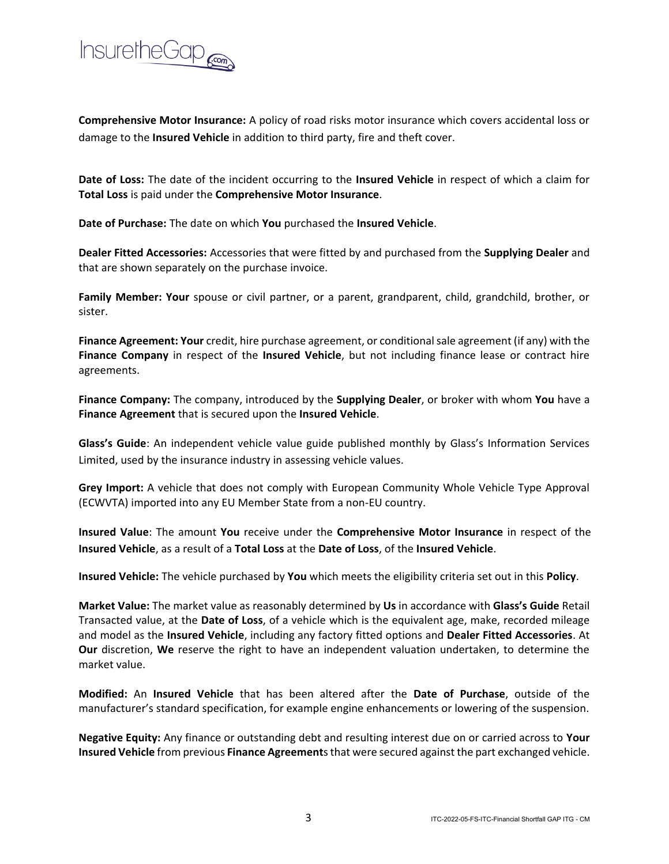

**Comprehensive Motor Insurance:** A policy of road risks motor insurance which covers accidental loss or damage to the **Insured Vehicle** in addition to third party, fire and theft cover.

**Date of Loss:** The date of the incident occurring to the **Insured Vehicle** in respect of which a claim for **Total Loss** is paid under the **Comprehensive Motor Insurance**.

**Date of Purchase:** The date on which **You** purchased the **Insured Vehicle**.

**Dealer Fitted Accessories:** Accessories that were fitted by and purchased from the **Supplying Dealer** and that are shown separately on the purchase invoice.

**Family Member: Your** spouse or civil partner, or a parent, grandparent, child, grandchild, brother, or sister.

**Finance Agreement: Your** credit, hire purchase agreement, or conditional sale agreement (if any) with the **Finance Company** in respect of the **Insured Vehicle**, but not including finance lease or contract hire agreements.

**Finance Company:** The company, introduced by the **Supplying Dealer**, or broker with whom **You** have a **Finance Agreement** that is secured upon the **Insured Vehicle**.

**Glass's Guide**: An independent vehicle value guide published monthly by Glass's Information Services Limited, used by the insurance industry in assessing vehicle values.

**Grey Import:** A vehicle that does not comply with European Community Whole Vehicle Type Approval (ECWVTA) imported into any EU Member State from a non-EU country.

**Insured Value**: The amount **You** receive under the **Comprehensive Motor Insurance** in respect of the **Insured Vehicle**, as a result of a **Total Loss** at the **Date of Loss**, of the **Insured Vehicle**.

**Insured Vehicle:** The vehicle purchased by **You** which meets the eligibility criteria set out in this **Policy**.

**Market Value:** The market value as reasonably determined by **Us** in accordance with **Glass's Guide** Retail Transacted value, at the **Date of Loss**, of a vehicle which is the equivalent age, make, recorded mileage and model as the **Insured Vehicle**, including any factory fitted options and **Dealer Fitted Accessories**. At **Our** discretion, **We** reserve the right to have an independent valuation undertaken, to determine the market value.

**Modified:** An **Insured Vehicle** that has been altered after the **Date of Purchase**, outside of the manufacturer's standard specification, for example engine enhancements or lowering of the suspension.

**Negative Equity:** Any finance or outstanding debt and resulting interest due on or carried across to **Your Insured Vehicle** from previous **Finance Agreement**s that were secured against the part exchanged vehicle.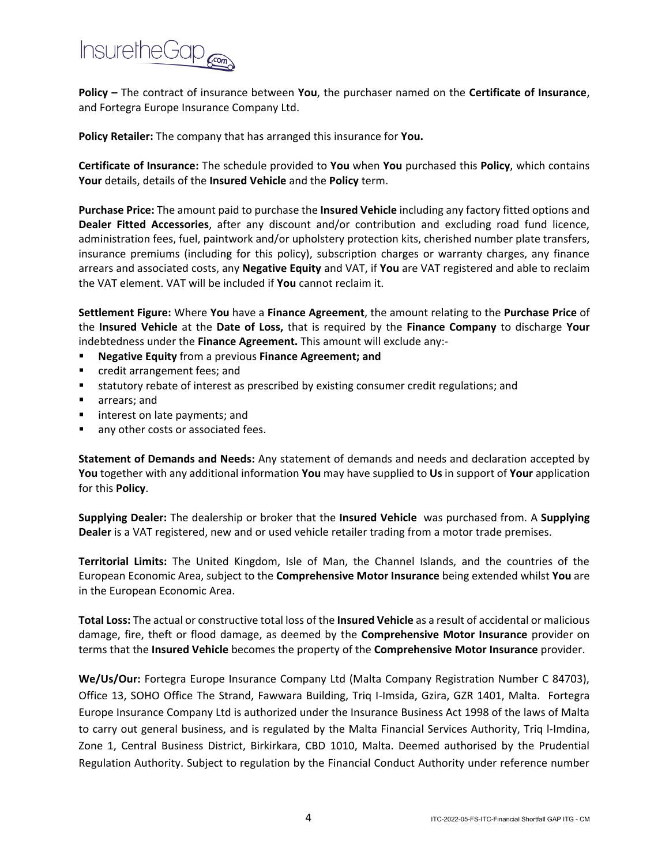

**Policy –** The contract of insurance between **You**, the purchaser named on the **Certificate of Insurance**, and Fortegra Europe Insurance Company Ltd.

**Policy Retailer:** The company that has arranged this insurance for **You.** 

**Certificate of Insurance:** The schedule provided to **You** when **You** purchased this **Policy**, which contains **Your** details, details of the **Insured Vehicle** and the **Policy** term.

**Purchase Price:** The amount paid to purchase the **Insured Vehicle** including any factory fitted options and **Dealer Fitted Accessories**, after any discount and/or contribution and excluding road fund licence, administration fees, fuel, paintwork and/or upholstery protection kits, cherished number plate transfers, insurance premiums (including for this policy), subscription charges or warranty charges, any finance arrears and associated costs, any **Negative Equity** and VAT, if **You** are VAT registered and able to reclaim the VAT element. VAT will be included if **You** cannot reclaim it.

**Settlement Figure:** Where **You** have a **Finance Agreement**, the amount relating to the **Purchase Price** of the **Insured Vehicle** at the **Date of Loss,** that is required by the **Finance Company** to discharge **Your**  indebtedness under the **Finance Agreement.** This amount will exclude any:-

- **Negative Equity** from a previous **Finance Agreement**; and
- credit arrangement fees; and
- statutory rebate of interest as prescribed by existing consumer credit regulations; and
- arrears; and
- interest on late payments; and
- any other costs or associated fees.

**Statement of Demands and Needs:** Any statement of demands and needs and declaration accepted by **You** together with any additional information **You** may have supplied to **Us** in support of **Your** application for this **Policy**.

**Supplying Dealer:** The dealership or broker that the **Insured Vehicle** was purchased from. A **Supplying Dealer** is a VAT registered, new and or used vehicle retailer trading from a motor trade premises.

**Territorial Limits:** The United Kingdom, Isle of Man, the Channel Islands, and the countries of the European Economic Area, subject to the **Comprehensive Motor Insurance** being extended whilst **You** are in the European Economic Area.

**Total Loss:** The actual or constructive total loss of the **Insured Vehicle** as a result of accidental or malicious damage, fire, theft or flood damage, as deemed by the **Comprehensive Motor Insurance** provider on terms that the **Insured Vehicle** becomes the property of the **Comprehensive Motor Insurance** provider.

**We/Us/Our:** Fortegra Europe Insurance Company Ltd (Malta Company Registration Number C 84703), Office 13, SOHO Office The Strand, Fawwara Building, Triq I-Imsida, Gzira, GZR 1401, Malta. Fortegra Europe Insurance Company Ltd is authorized under the Insurance Business Act 1998 of the laws of Malta to carry out general business, and is regulated by the Malta Financial Services Authority, Triq l-Imdina, Zone 1, Central Business District, Birkirkara, CBD 1010, Malta. Deemed authorised by the Prudential Regulation Authority. Subject to regulation by the Financial Conduct Authority under reference number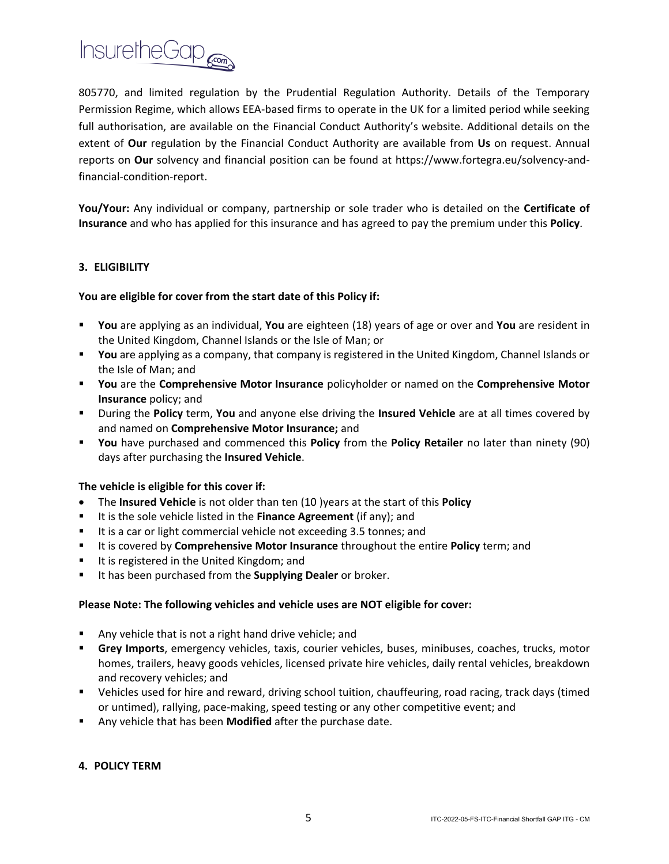

805770, and limited regulation by the Prudential Regulation Authority. Details of the Temporary Permission Regime, which allows EEA-based firms to operate in the UK for a limited period while seeking full authorisation, are available on the Financial Conduct Authority's website. Additional details on the extent of **Our** regulation by the Financial Conduct Authority are available from **Us** on request. Annual reports on **Our** solvency and financial position can be found at https://www.fortegra.eu/solvency-andfinancial-condition-report.

**You/Your:** Any individual or company, partnership or sole trader who is detailed on the **Certificate of Insurance** and who has applied for this insurance and has agreed to pay the premium under this **Policy**.

## **3. ELIGIBILITY**

## **You are eligible for cover from the start date of this Policy if:**

- **You** are applying as an individual, **You** are eighteen (18) years of age or over and **You** are resident in the United Kingdom, Channel Islands or the Isle of Man; or
- You are applying as a company, that company is registered in the United Kingdom, Channel Islands or the Isle of Man; and
- **You** are the **Comprehensive Motor Insurance** policyholder or named on the **Comprehensive Motor Insurance** policy; and
- During the **Policy** term, **You** and anyone else driving the **Insured Vehicle** are at all times covered by and named on **Comprehensive Motor Insurance;** and
- **You** have purchased and commenced this **Policy** from the **Policy Retailer** no later than ninety (90) days after purchasing the **Insured Vehicle**.

#### **The vehicle is eligible for this cover if:**

- The **Insured Vehicle** is not older than ten (10 )years at the start of this **Policy**
- It is the sole vehicle listed in the **Finance Agreement** (if any); and
- It is a car or light commercial vehicle not exceeding 3.5 tonnes; and
- It is covered by **Comprehensive Motor Insurance** throughout the entire **Policy** term; and
- It is registered in the United Kingdom; and
- It has been purchased from the **Supplying Dealer** or broker.

#### **Please Note: The following vehicles and vehicle uses are NOT eligible for cover:**

- Any vehicle that is not a right hand drive vehicle; and
- **E** Grey Imports, emergency vehicles, taxis, courier vehicles, buses, minibuses, coaches, trucks, motor homes, trailers, heavy goods vehicles, licensed private hire vehicles, daily rental vehicles, breakdown and recovery vehicles; and
- Vehicles used for hire and reward, driving school tuition, chauffeuring, road racing, track days (timed or untimed), rallying, pace-making, speed testing or any other competitive event; and
- Any vehicle that has been **Modified** after the purchase date.

#### **4. POLICY TERM**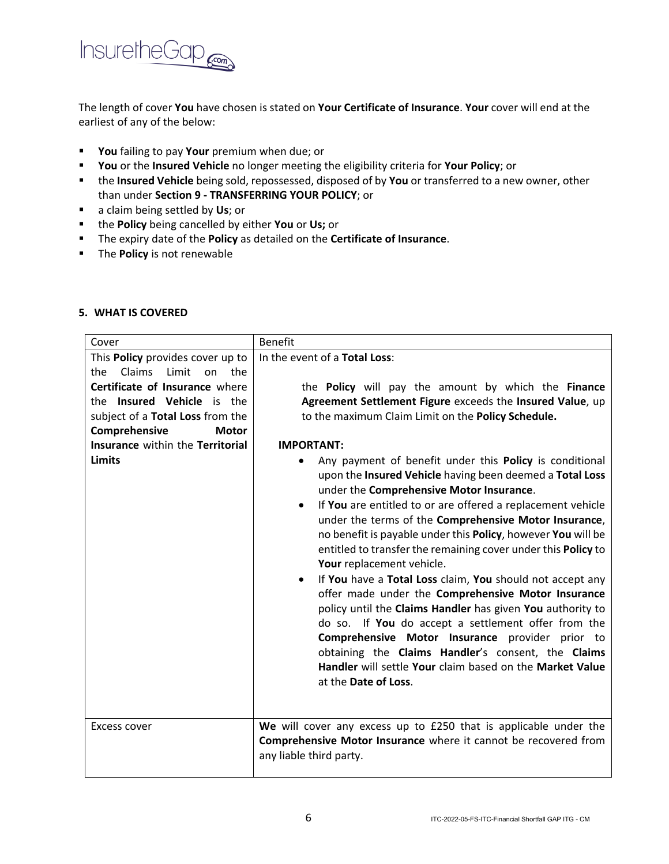

The length of cover **You** have chosen is stated on **Your Certificate of Insurance**. **Your** cover will end at the earliest of any of the below:

- **You** failing to pay **Your** premium when due; or
- **You** or the **Insured Vehicle** no longer meeting the eligibility criteria for **Your Policy**; or
- the **Insured Vehicle** being sold, repossessed, disposed of by **You** or transferred to a new owner, other than under **Section 9 - TRANSFERRING YOUR POLICY**; or
- a claim being settled by **Us**; or
- the **Policy** being cancelled by either **You** or **Us;** or
- The expiry date of the **Policy** as detailed on the **Certificate of Insurance**.
- The **Policy** is not renewable

| Cover                                                                                                     | <b>Benefit</b>                                                                                                                                                                                                                                                                                                                                                                                                                                                                                                                                                                                                                                                                                                                                                                                                                                                                                                            |  |
|-----------------------------------------------------------------------------------------------------------|---------------------------------------------------------------------------------------------------------------------------------------------------------------------------------------------------------------------------------------------------------------------------------------------------------------------------------------------------------------------------------------------------------------------------------------------------------------------------------------------------------------------------------------------------------------------------------------------------------------------------------------------------------------------------------------------------------------------------------------------------------------------------------------------------------------------------------------------------------------------------------------------------------------------------|--|
| This Policy provides cover up to<br>Claims<br>Limit<br>the<br>the<br>on<br>Certificate of Insurance where | In the event of a Total Loss:                                                                                                                                                                                                                                                                                                                                                                                                                                                                                                                                                                                                                                                                                                                                                                                                                                                                                             |  |
| the Insured Vehicle is the                                                                                | the <b>Policy</b> will pay the amount by which the <b>Finance</b><br>Agreement Settlement Figure exceeds the Insured Value, up                                                                                                                                                                                                                                                                                                                                                                                                                                                                                                                                                                                                                                                                                                                                                                                            |  |
| subject of a Total Loss from the                                                                          | to the maximum Claim Limit on the Policy Schedule.                                                                                                                                                                                                                                                                                                                                                                                                                                                                                                                                                                                                                                                                                                                                                                                                                                                                        |  |
| Comprehensive<br><b>Motor</b>                                                                             |                                                                                                                                                                                                                                                                                                                                                                                                                                                                                                                                                                                                                                                                                                                                                                                                                                                                                                                           |  |
| Insurance within the Territorial                                                                          | <b>IMPORTANT:</b>                                                                                                                                                                                                                                                                                                                                                                                                                                                                                                                                                                                                                                                                                                                                                                                                                                                                                                         |  |
| <b>Limits</b>                                                                                             | Any payment of benefit under this Policy is conditional<br>$\bullet$<br>upon the Insured Vehicle having been deemed a Total Loss<br>under the Comprehensive Motor Insurance.<br>If You are entitled to or are offered a replacement vehicle<br>٠<br>under the terms of the Comprehensive Motor Insurance,<br>no benefit is payable under this Policy, however You will be<br>entitled to transfer the remaining cover under this Policy to<br>Your replacement vehicle.<br>If You have a Total Loss claim, You should not accept any<br>$\bullet$<br>offer made under the Comprehensive Motor Insurance<br>policy until the Claims Handler has given You authority to<br>do so. If You do accept a settlement offer from the<br>Comprehensive Motor Insurance provider prior to<br>obtaining the Claims Handler's consent, the Claims<br>Handler will settle Your claim based on the Market Value<br>at the Date of Loss. |  |
| Excess cover                                                                                              | We will cover any excess up to £250 that is applicable under the<br>Comprehensive Motor Insurance where it cannot be recovered from<br>any liable third party.                                                                                                                                                                                                                                                                                                                                                                                                                                                                                                                                                                                                                                                                                                                                                            |  |

### **5. WHAT IS COVERED**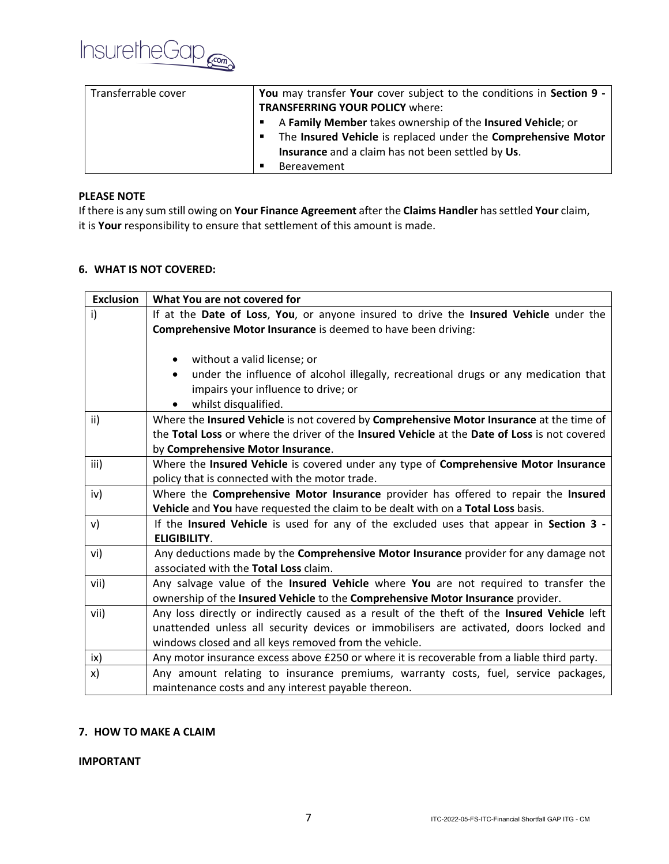

| Transferrable cover | You may transfer Your cover subject to the conditions in Section 9 - |
|---------------------|----------------------------------------------------------------------|
|                     | <b>TRANSFERRING YOUR POLICY where:</b>                               |
|                     | A Family Member takes ownership of the Insured Vehicle; or           |
|                     | The Insured Vehicle is replaced under the Comprehensive Motor<br>п   |
|                     | Insurance and a claim has not been settled by Us.                    |
|                     | Bereavement                                                          |

## **PLEASE NOTE**

If there is any sum still owing on **Your Finance Agreement** after the **Claims Handler** has settled **Your** claim, it is **Your** responsibility to ensure that settlement of this amount is made.

# **6. WHAT IS NOT COVERED:**

| <b>Exclusion</b> | What You are not covered for                                                                 |  |  |
|------------------|----------------------------------------------------------------------------------------------|--|--|
| i)               | If at the Date of Loss, You, or anyone insured to drive the Insured Vehicle under the        |  |  |
|                  | Comprehensive Motor Insurance is deemed to have been driving:                                |  |  |
|                  |                                                                                              |  |  |
|                  | without a valid license; or                                                                  |  |  |
|                  | under the influence of alcohol illegally, recreational drugs or any medication that          |  |  |
|                  | impairs your influence to drive; or                                                          |  |  |
|                  | whilst disqualified.<br>$\bullet$                                                            |  |  |
| ii)              | Where the Insured Vehicle is not covered by Comprehensive Motor Insurance at the time of     |  |  |
|                  | the Total Loss or where the driver of the Insured Vehicle at the Date of Loss is not covered |  |  |
|                  | by Comprehensive Motor Insurance.                                                            |  |  |
| iii)             | Where the Insured Vehicle is covered under any type of Comprehensive Motor Insurance         |  |  |
|                  | policy that is connected with the motor trade.                                               |  |  |
| iv)              | Where the Comprehensive Motor Insurance provider has offered to repair the Insured           |  |  |
|                  | Vehicle and You have requested the claim to be dealt with on a Total Loss basis.             |  |  |
| V)               | If the Insured Vehicle is used for any of the excluded uses that appear in Section 3 -       |  |  |
|                  | <b>ELIGIBILITY.</b>                                                                          |  |  |
| vi)              | Any deductions made by the Comprehensive Motor Insurance provider for any damage not         |  |  |
|                  | associated with the Total Loss claim.                                                        |  |  |
| vii)             | Any salvage value of the Insured Vehicle where You are not required to transfer the          |  |  |
|                  | ownership of the Insured Vehicle to the Comprehensive Motor Insurance provider.              |  |  |
| vii)             | Any loss directly or indirectly caused as a result of the theft of the Insured Vehicle left  |  |  |
|                  | unattended unless all security devices or immobilisers are activated, doors locked and       |  |  |
|                  | windows closed and all keys removed from the vehicle.                                        |  |  |
| ix)              | Any motor insurance excess above £250 or where it is recoverable from a liable third party.  |  |  |
| x)               | Any amount relating to insurance premiums, warranty costs, fuel, service packages,           |  |  |
|                  | maintenance costs and any interest payable thereon.                                          |  |  |

# **7. HOW TO MAKE A CLAIM**

**IMPORTANT**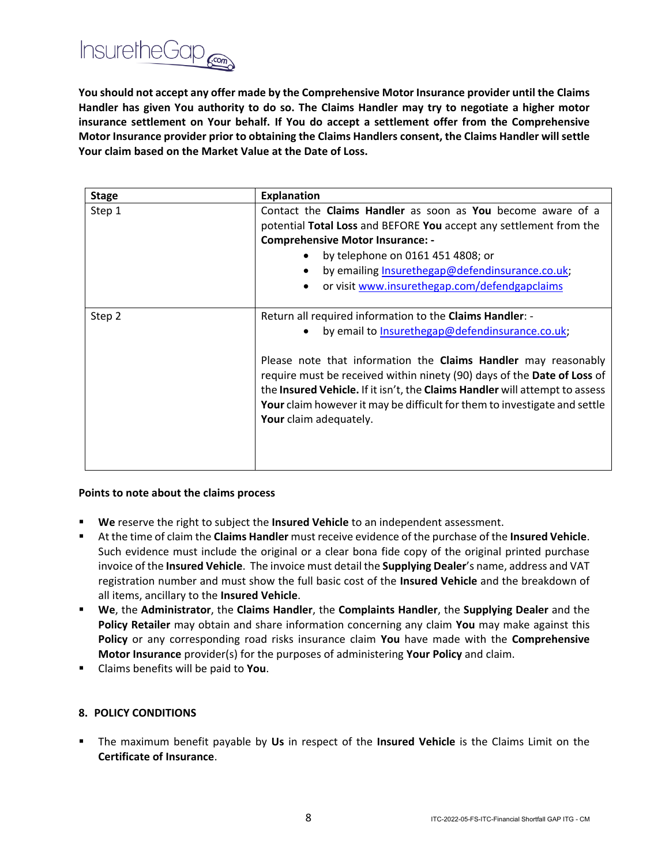

**You should not accept any offer made by the Comprehensive Motor Insurance provider until the Claims Handler has given You authority to do so. The Claims Handler may try to negotiate a higher motor insurance settlement on Your behalf. If You do accept a settlement offer from the Comprehensive Motor Insurance provider prior to obtaining the Claims Handlers consent, the Claims Handler will settle Your claim based on the Market Value at the Date of Loss.**

| <b>Stage</b> | <b>Explanation</b>                                                                                                                                                                                                                                                                                                              |
|--------------|---------------------------------------------------------------------------------------------------------------------------------------------------------------------------------------------------------------------------------------------------------------------------------------------------------------------------------|
| Step 1       | Contact the Claims Handler as soon as You become aware of a                                                                                                                                                                                                                                                                     |
|              | potential Total Loss and BEFORE You accept any settlement from the                                                                                                                                                                                                                                                              |
|              | <b>Comprehensive Motor Insurance: -</b>                                                                                                                                                                                                                                                                                         |
|              | by telephone on 0161 451 4808; or                                                                                                                                                                                                                                                                                               |
|              | by emailing Insurethegap@defendinsurance.co.uk;<br>$\bullet$                                                                                                                                                                                                                                                                    |
|              | or visit www.insurethegap.com/defendgapclaims<br>$\bullet$                                                                                                                                                                                                                                                                      |
|              |                                                                                                                                                                                                                                                                                                                                 |
| Step 2       | Return all required information to the Claims Handler: -                                                                                                                                                                                                                                                                        |
|              | by email to Insurethegap@defendinsurance.co.uk;                                                                                                                                                                                                                                                                                 |
|              | Please note that information the Claims Handler may reasonably<br>require must be received within ninety (90) days of the Date of Loss of<br>the Insured Vehicle. If it isn't, the Claims Handler will attempt to assess<br>Your claim however it may be difficult for them to investigate and settle<br>Your claim adequately. |

#### **Points to note about the claims process**

- We reserve the right to subject the **Insured Vehicle** to an independent assessment.
- At the time of claim the **Claims Handler** must receive evidence of the purchase of the **Insured Vehicle**. Such evidence must include the original or a clear bona fide copy of the original printed purchase invoice of the **Insured Vehicle**. The invoice must detail the **Supplying Dealer**'s name, address and VAT registration number and must show the full basic cost of the **Insured Vehicle** and the breakdown of all items, ancillary to the **Insured Vehicle**.
- **We**, the **Administrator**, the **Claims Handler**, the **Complaints Handler**, the **Supplying Dealer** and the **Policy Retailer** may obtain and share information concerning any claim **You** may make against this **Policy** or any corresponding road risks insurance claim **You** have made with the **Comprehensive Motor Insurance** provider(s) for the purposes of administering **Your Policy** and claim.
- Claims benefits will be paid to **You**.

#### **8. POLICY CONDITIONS**

▪ The maximum benefit payable by **Us** in respect of the **Insured Vehicle** is the Claims Limit on the **Certificate of Insurance**.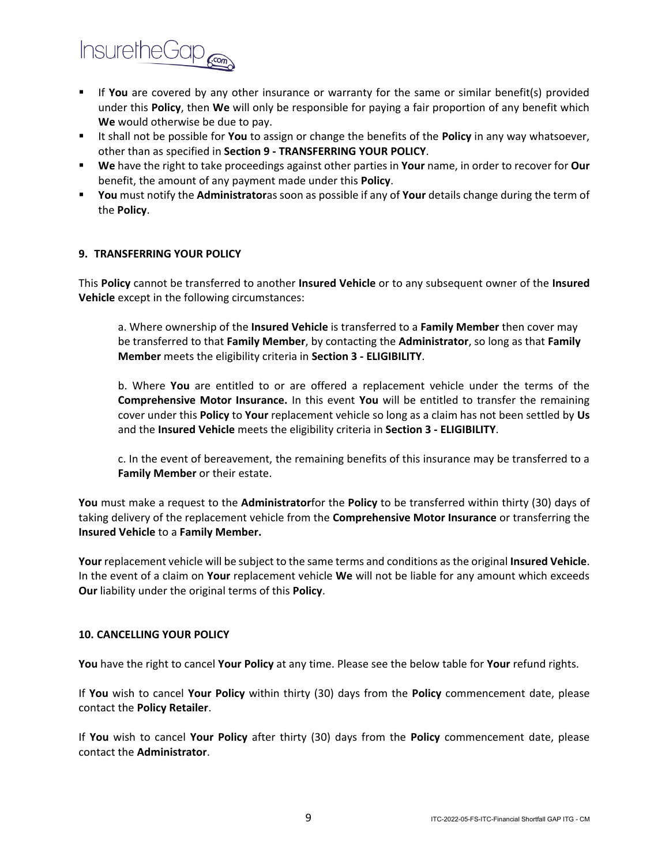

- **■** If **You** are covered by any other insurance or warranty for the same or similar benefit(s) provided under this **Policy**, then **We** will only be responsible for paying a fair proportion of any benefit which **We** would otherwise be due to pay.
- It shall not be possible for **You** to assign or change the benefits of the **Policy** in any way whatsoever, other than as specified in **Section 9 - TRANSFERRING YOUR POLICY**.
- **We** have the right to take proceedings against other parties in **Your** name, in order to recover for **Our** benefit, the amount of any payment made under this **Policy**.
- **You** must notify the **Administrator**as soon as possible if any of **Your** details change during the term of the **Policy**.

#### **9. TRANSFERRING YOUR POLICY**

This **Policy** cannot be transferred to another **Insured Vehicle** or to any subsequent owner of the **Insured Vehicle** except in the following circumstances:

a. Where ownership of the **Insured Vehicle** is transferred to a **Family Member** then cover may be transferred to that **Family Member**, by contacting the **Administrator**, so long as that **Family Member** meets the eligibility criteria in **Section 3 - ELIGIBILITY**.

b. Where **You** are entitled to or are offered a replacement vehicle under the terms of the **Comprehensive Motor Insurance.** In this event **You** will be entitled to transfer the remaining cover under this **Policy** to **Your** replacement vehicle so long as a claim has not been settled by **Us** and the **Insured Vehicle** meets the eligibility criteria in **Section 3 - ELIGIBILITY**.

c. In the event of bereavement, the remaining benefits of this insurance may be transferred to a **Family Member** or their estate.

**You** must make a request to the **Administrator**for the **Policy** to be transferred within thirty (30) days of taking delivery of the replacement vehicle from the **Comprehensive Motor Insurance** or transferring the **Insured Vehicle** to a **Family Member.**

**Your** replacement vehicle will be subject to the same terms and conditions as the original **Insured Vehicle**. In the event of a claim on **Your** replacement vehicle **We** will not be liable for any amount which exceeds **Our** liability under the original terms of this **Policy**.

#### **10. CANCELLING YOUR POLICY**

**You** have the right to cancel **Your Policy** at any time. Please see the below table for **Your** refund rights.

If **You** wish to cancel **Your Policy** within thirty (30) days from the **Policy** commencement date, please contact the **Policy Retailer**.

If **You** wish to cancel **Your Policy** after thirty (30) days from the **Policy** commencement date, please contact the **Administrator**.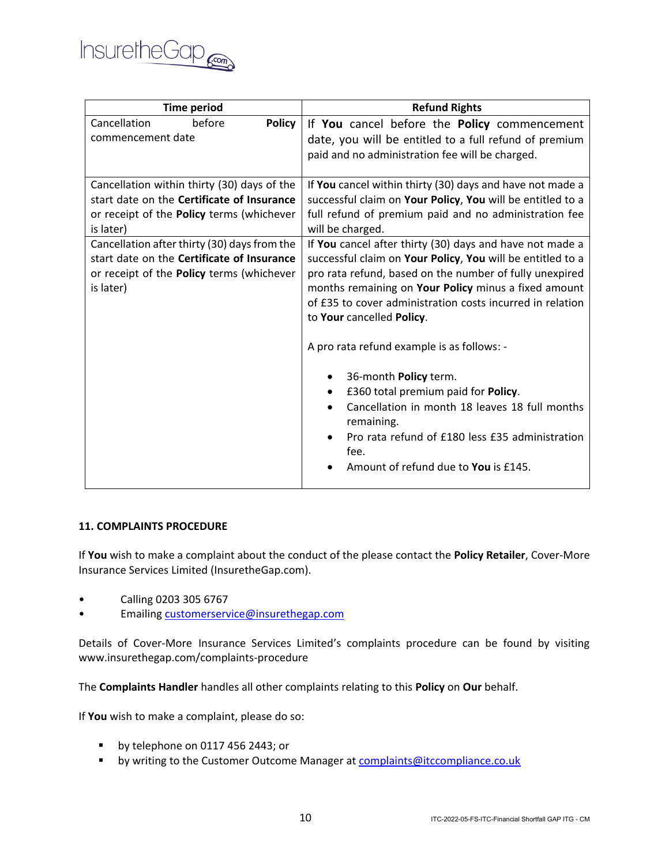

| <b>Time period</b>                           | <b>Refund Rights</b>                                       |
|----------------------------------------------|------------------------------------------------------------|
| Cancellation<br>before<br><b>Policy</b>      | If You cancel before the Policy commencement               |
| commencement date                            | date, you will be entitled to a full refund of premium     |
|                                              | paid and no administration fee will be charged.            |
|                                              |                                                            |
| Cancellation within thirty (30) days of the  | If You cancel within thirty (30) days and have not made a  |
| start date on the Certificate of Insurance   | successful claim on Your Policy, You will be entitled to a |
| or receipt of the Policy terms (whichever    | full refund of premium paid and no administration fee      |
| is later)                                    | will be charged.                                           |
| Cancellation after thirty (30) days from the | If You cancel after thirty (30) days and have not made a   |
| start date on the Certificate of Insurance   | successful claim on Your Policy, You will be entitled to a |
| or receipt of the Policy terms (whichever    | pro rata refund, based on the number of fully unexpired    |
| is later)                                    | months remaining on Your Policy minus a fixed amount       |
|                                              | of £35 to cover administration costs incurred in relation  |
|                                              | to Your cancelled Policy.                                  |
|                                              | A pro rata refund example is as follows: -                 |
|                                              | 36-month Policy term.                                      |
|                                              | £360 total premium paid for Policy.<br>٠                   |
|                                              | Cancellation in month 18 leaves 18 full months             |
|                                              | remaining.                                                 |
|                                              | Pro rata refund of £180 less £35 administration            |
|                                              | fee.                                                       |
|                                              | Amount of refund due to You is £145.                       |
|                                              |                                                            |

#### **11. COMPLAINTS PROCEDURE**

If **You** wish to make a complaint about the conduct of the please contact the **Policy Retailer**, Cover-More Insurance Services Limited (InsuretheGap.com).

- Calling 0203 305 6767
- Emailing [customerservice@insurethegap.com](mailto:customerservice@insurethegap.com)

Details of Cover-More Insurance Services Limited's complaints procedure can be found by visiting www.insurethegap.com/complaints-procedure

The **Complaints Handler** handles all other complaints relating to this **Policy** on **Our** behalf.

If **You** wish to make a complaint, please do so:

- by telephone on 0117 456 2443; or
- **■** by writing to the Customer Outcome Manager at **complaints@itccompliance.co.uk**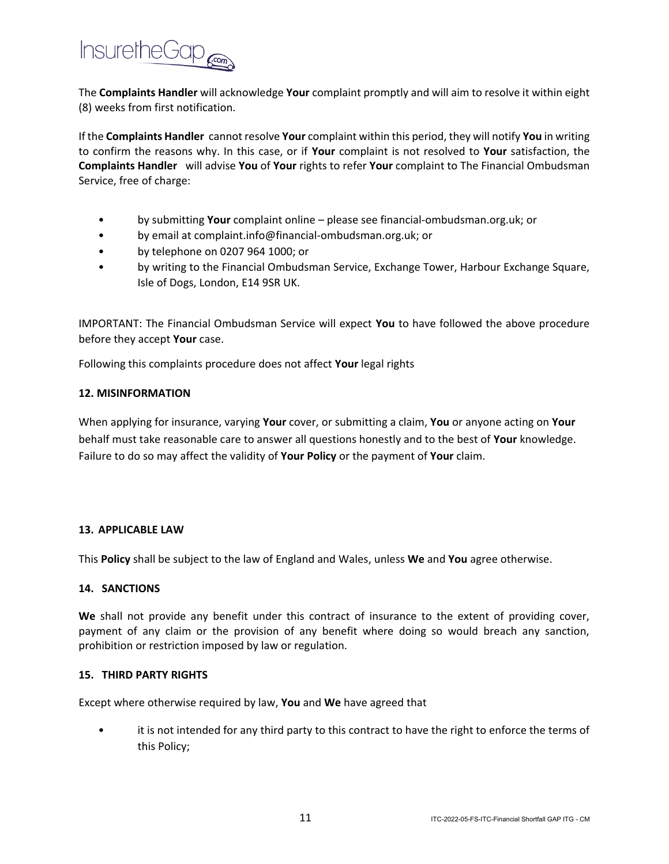

The **Complaints Handler** will acknowledge **Your** complaint promptly and will aim to resolve it within eight (8) weeks from first notification.

If the **Complaints Handler** cannot resolve **Your** complaint within this period, they will notify **You** in writing to confirm the reasons why. In this case, or if **Your** complaint is not resolved to **Your** satisfaction, the **Complaints Handler** will advise **You** of **Your** rights to refer **Your** complaint to The Financial Ombudsman Service, free of charge:

- by submitting **Your** complaint online please see financial-ombudsman.org.uk; or
- by email at complaint.info@financial-ombudsman.org.uk; or
- by telephone on 0207 964 1000; or
- by writing to the Financial Ombudsman Service, Exchange Tower, Harbour Exchange Square, Isle of Dogs, London, E14 9SR UK.

IMPORTANT: The Financial Ombudsman Service will expect **You** to have followed the above procedure before they accept **Your** case.

Following this complaints procedure does not affect **Your** legal rights

#### **12. MISINFORMATION**

When applying for insurance, varying **Your** cover, or submitting a claim, **You** or anyone acting on **Your** behalf must take reasonable care to answer all questions honestly and to the best of **Your** knowledge. Failure to do so may affect the validity of **Your Policy** or the payment of **Your** claim.

#### **13. APPLICABLE LAW**

This **Policy** shall be subject to the law of England and Wales, unless **We** and **You** agree otherwise.

## **14. SANCTIONS**

**We** shall not provide any benefit under this contract of insurance to the extent of providing cover, payment of any claim or the provision of any benefit where doing so would breach any sanction, prohibition or restriction imposed by law or regulation.

#### **15. THIRD PARTY RIGHTS**

Except where otherwise required by law, **You** and **We** have agreed that

it is not intended for any third party to this contract to have the right to enforce the terms of this Policy;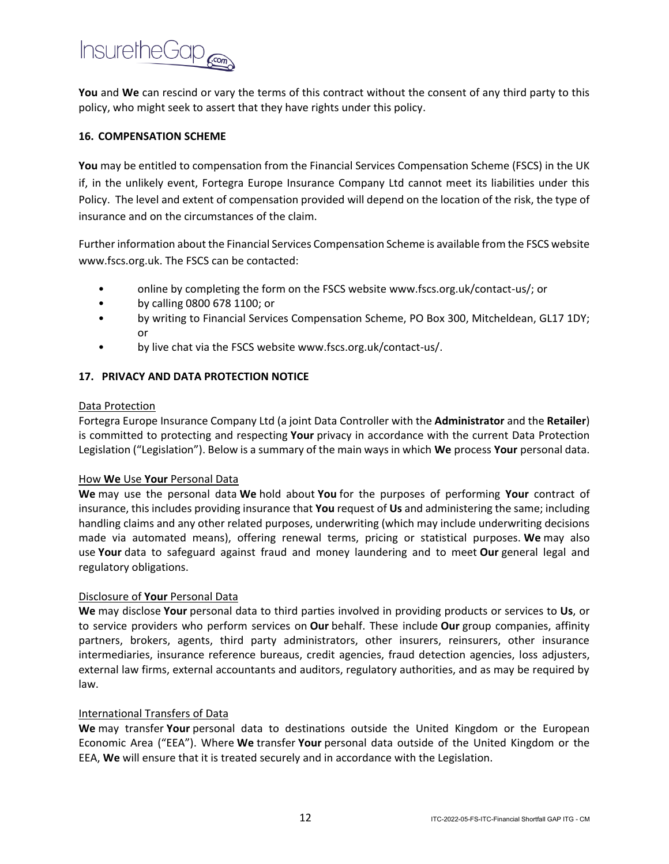

**You** and **We** can rescind or vary the terms of this contract without the consent of any third party to this policy, who might seek to assert that they have rights under this policy.

## **16. COMPENSATION SCHEME**

**You** may be entitled to compensation from the Financial Services Compensation Scheme (FSCS) in the UK if, in the unlikely event, Fortegra Europe Insurance Company Ltd cannot meet its liabilities under this Policy. The level and extent of compensation provided will depend on the location of the risk, the type of insurance and on the circumstances of the claim.

Further information about the Financial Services Compensation Scheme is available from the FSCS website www.fscs.org.uk. The FSCS can be contacted:

- online by completing the form on the FSCS website www.fscs.org.uk/contact-us/; or
- by calling 0800 678 1100; or
- by writing to Financial Services Compensation Scheme, PO Box 300, Mitcheldean, GL17 1DY; or
- by live chat via the FSCS website www.fscs.org.uk/contact-us/.

# **17. PRIVACY AND DATA PROTECTION NOTICE**

#### Data Protection

Fortegra Europe Insurance Company Ltd (a joint Data Controller with the **Administrator** and the **Retailer**) is committed to protecting and respecting **Your** privacy in accordance with the current Data Protection Legislation ("Legislation"). Below is a summary of the main ways in which **We** process **Your** personal data.

# How **We** Use **Your** Personal Data

**We** may use the personal data **We** hold about **You** for the purposes of performing **Your** contract of insurance, this includes providing insurance that **You** request of **Us** and administering the same; including handling claims and any other related purposes, underwriting (which may include underwriting decisions made via automated means), offering renewal terms, pricing or statistical purposes. **We** may also use **Your** data to safeguard against fraud and money laundering and to meet **Our** general legal and regulatory obligations.

# Disclosure of **Your** Personal Data

**We** may disclose **Your** personal data to third parties involved in providing products or services to **Us**, or to service providers who perform services on **Our** behalf. These include **Our** group companies, affinity partners, brokers, agents, third party administrators, other insurers, reinsurers, other insurance intermediaries, insurance reference bureaus, credit agencies, fraud detection agencies, loss adjusters, external law firms, external accountants and auditors, regulatory authorities, and as may be required by law.

# International Transfers of Data

**We** may transfer **Your** personal data to destinations outside the United Kingdom or the European Economic Area ("EEA"). Where **We** transfer **Your** personal data outside of the United Kingdom or the EEA, **We** will ensure that it is treated securely and in accordance with the Legislation.